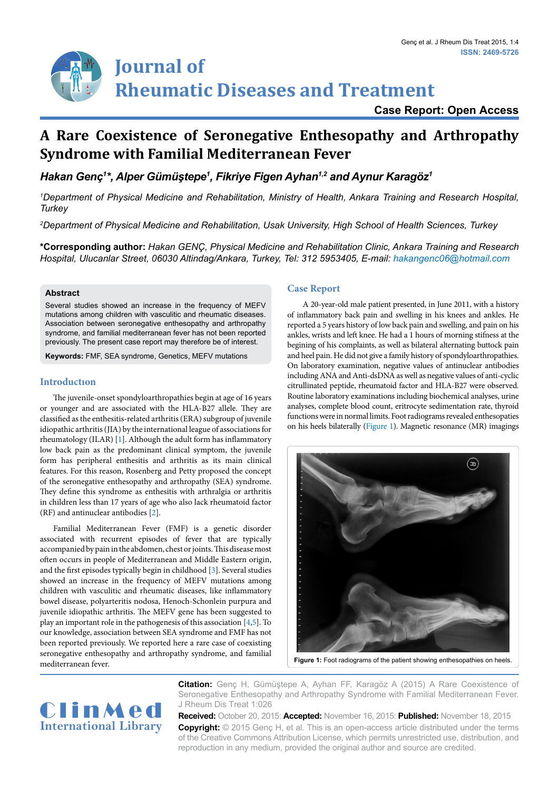# **Journal of Rheumatic Diseases and Treatment**

### **Case Report: Open Access**

## **A Rare Coexistence of Seronegative Enthesopathy and Arthropathy Syndrome with Familial Mediterranean Fever**

*Hakan Genç1 \*, Alper Gümüştepe<sup>1</sup> , Fikriye Figen Ayhan1,2 and Aynur Karagöz1*

*1 Department of Physical Medicine and Rehabilitation, Ministry of Health, Ankara Training and Research Hospital, Turkey*

*2 Department of Physical Medicine and Rehabilitation, Usak University, High School of Health Sciences, Turkey*

**\*Corresponding author:** *Hakan GENÇ, Physical Medicine and Rehabilitation Clinic, Ankara Training and Research Hospital, Ulucanlar Street, 06030 Altindag/Ankara, Turkey, Tel: 312 5953405, E-mail: hakangenc06@hotmail.com* 

#### **Abstract**

Several studies showed an increase in the frequency of MEFV mutations among children with vasculitic and rheumatic diseases. Association between seronegative enthesopathy and arthropathy syndrome, and familial mediterranean fever has not been reported previously. The present case report may therefore be of interest.

**Keywords:** FMF, SEA syndrome, Genetics, MEFV mutations

#### **Introductıon**

The juvenile-onset spondyloarthropathies begin at age of 16 years or younger and are associated with the HLA-B27 allele. They are classified as the enthesitis-related arthritis (ERA) subgroup of juvenile idiopathic arthritis (JIA) by the international league of associations for rheumatology (ILAR) [[1\]](#page-1-0). Although the adult form has inflammatory low back pain as the predominant clinical symptom, the juvenile form has peripheral enthesitis and arthritis as its main clinical features. For this reason, Rosenberg and Petty proposed the concept of the seronegative enthesopathy and arthropathy (SEA) syndrome. They define this syndrome as enthesitis with arthralgia or arthritis in children less than 17 years of age who also lack rheumatoid factor (RF) and antinuclear antibodies [[2](#page-1-1)].

Familial Mediterranean Fever (FMF) is a genetic disorder associated with recurrent episodes of fever that are typically accompanied by pain in the abdomen, chest or joints. This disease most often occurs in people of Mediterranean and Middle Eastern origin, and the first episodes typically begin in childhood [\[3](#page-1-2)]. Several studies showed an increase in the frequency of MEFV mutations among children with vasculitic and rheumatic diseases, like inflammatory bowel disease, polyarteritis nodosa, Henoch-Schonlein purpura and juvenile idiopathic arthritis. The MEFV gene has been suggested to play an important role in the pathogenesis of this association [\[4,](#page-1-3)[5\]](#page-1-4). To our knowledge, association between SEA syndrome and FMF has not been reported previously. We reported here a rare case of coexisting seronegative enthesopathy and arthropathy syndrome, and familial mediterranean fever.

#### **Case Report**

 A 20-year-old male patient presented, in June 2011, with a history of inflammatory back pain and swelling in his knees and ankles. He reported a 5 years history of low back pain and swelling, and pain on his ankles, wrists and left knee. He had a 1 hours of morning stifness at the begining of his complaints, as well as bilateral alternating buttock pain and heel pain. He did not give a family history of spondyloarthropathies. On laboratory examination, negative values of antinuclear antibodies including ANA and Anti-dsDNA as well as negative values of anti-cyclic citrullinated peptide, rheumatoid factor and HLA-B27 were observed. Routine laboratory examinations including biochemical analyses, urine analyses, complete blood count, eritrocyte sedimentation rate, thyroid functions were in normal limits. Foot radiograms revealed enthesopaties on his heels bilaterally [\(Figure 1](#page-0-0)). Magnetic resonance (MR) imagings

<span id="page-0-0"></span>

Figure 1: Foot radiograms of the patient showing enthesopathies on heels.



**Citation:** Genç H, Gümüştepe A, Ayhan FF, Karagöz A (2015) A Rare Coexistence of Seronegative Enthesopathy and Arthropathy Syndrome with Familial Mediterranean Fever. J Rheum Dis Treat 1:026

**Received:** October 20, 2015: **Accepted:** November 16, 2015: **Published:** November 18, 2015 **Copyright:** © 2015 Genç H, et al. This is an open-access article distributed under the terms of the Creative Commons Attribution License, which permits unrestricted use, distribution, and reproduction in any medium, provided the original author and source are credited.